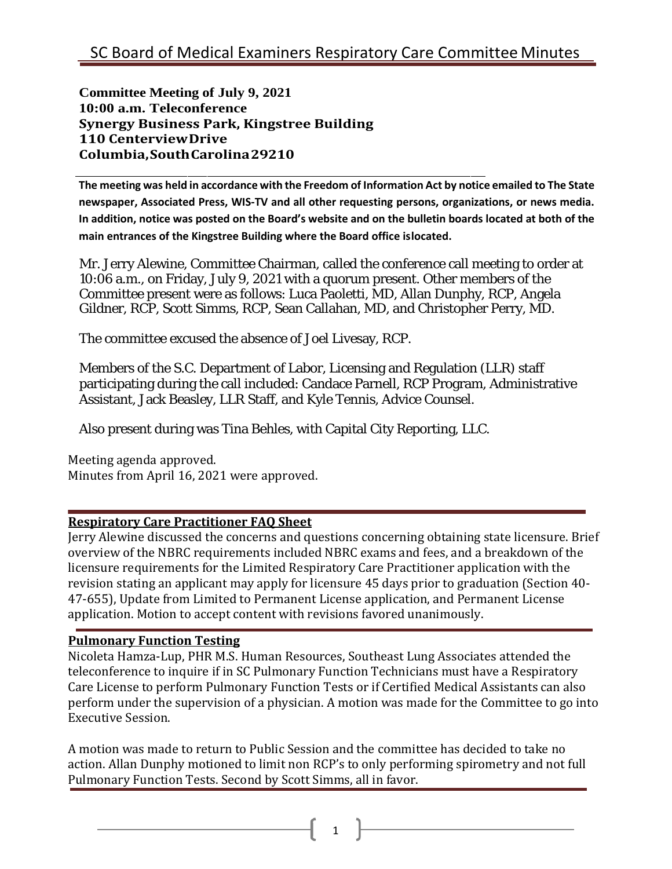**Committee Meeting of July 9, 2021 10:00 a.m. Teleconference Synergy Business Park, Kingstree Building 110 CenterviewDrive Columbia,SouthCarolina29210**

**The meeting was held in accordance with the Freedom of Information Act by notice emailed to The State newspaper, Associated Press, WIS-TV and all other requesting persons, organizations, or news media. In addition, notice was posted on the Board's website and on the bulletin boards located at both of the main entrances of the Kingstree Building where the Board office islocated.**

Mr. Jerry Alewine, Committee Chairman, called the conference call meeting to order at 10:06 a.m., on Friday, July 9, 2021 with a quorum present. Other members of the Committee present were as follows: Luca Paoletti, MD, Allan Dunphy, RCP, Angela Gildner, RCP, Scott Simms, RCP, Sean Callahan, MD, and Christopher Perry, MD.

The committee excused the absence of Joel Livesay, RCP.

Members of the S.C. Department of Labor, Licensing and Regulation (LLR) staff participating during the call included: Candace Parnell, RCP Program, Administrative Assistant, Jack Beasley, LLR Staff, and Kyle Tennis, Advice Counsel.

Also present during was Tina Behles, with Capital City Reporting, LLC.

Meeting agenda approved. Minutes from April 16, 2021 were approved.

## **Respiratory Care Practitioner FAQ Sheet**

Jerry Alewine discussed the concerns and questions concerning obtaining state licensure. Brief overview of the NBRC requirements included NBRC exams and fees, and a breakdown of the licensure requirements for the Limited Respiratory Care Practitioner application with the revision stating an applicant may apply for licensure 45 days prior to graduation (Section 40- 47-655), Update from Limited to Permanent License application, and Permanent License application. Motion to accept content with revisions favored unanimously.

## **Pulmonary Function Testing**

Nicoleta Hamza-Lup, PHR M.S. Human Resources, Southeast Lung Associates attended the teleconference to inquire if in SC Pulmonary Function Technicians must have a Respiratory Care License to perform Pulmonary Function Tests or if Certified Medical Assistants can also perform under the supervision of a physician. A motion was made for the Committee to go into Executive Session.

A motion was made to return to Public Session and the committee has decided to take no action. Allan Dunphy motioned to limit non RCP's to only performing spirometry and not full Pulmonary Function Tests. Second by Scott Simms, all in favor.

 $1 \parallel$